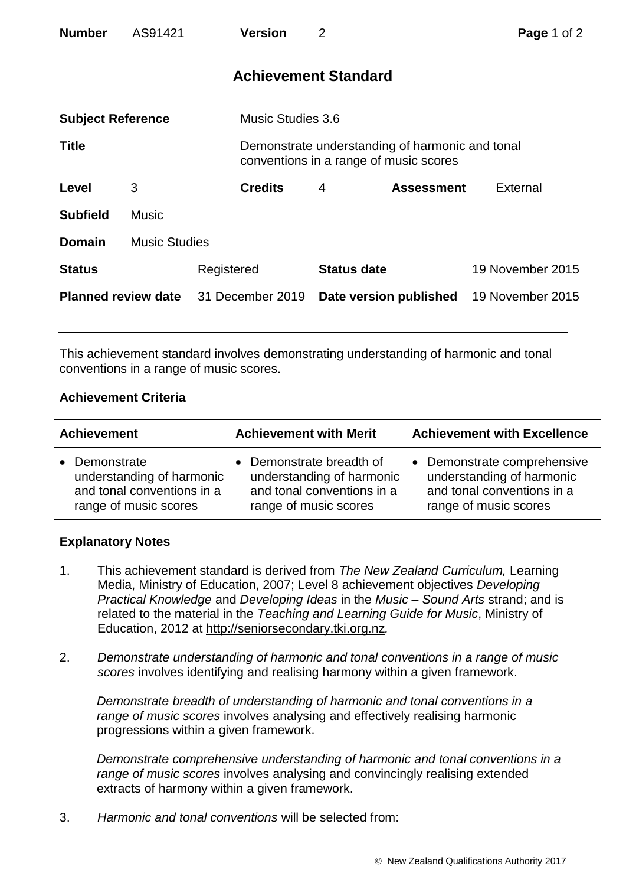| <b>Number</b>              | AS91421              |            | <b>Version</b>              | 2                      |                                                                                           | Page 1 of 2      |  |
|----------------------------|----------------------|------------|-----------------------------|------------------------|-------------------------------------------------------------------------------------------|------------------|--|
|                            |                      |            | <b>Achievement Standard</b> |                        |                                                                                           |                  |  |
| <b>Subject Reference</b>   |                      |            | <b>Music Studies 3.6</b>    |                        |                                                                                           |                  |  |
| <b>Title</b>               |                      |            |                             |                        | Demonstrate understanding of harmonic and tonal<br>conventions in a range of music scores |                  |  |
| Level                      | 3                    |            | <b>Credits</b>              | $\overline{4}$         | <b>Assessment</b>                                                                         | External         |  |
| <b>Subfield</b>            | <b>Music</b>         |            |                             |                        |                                                                                           |                  |  |
| <b>Domain</b>              | <b>Music Studies</b> |            |                             |                        |                                                                                           |                  |  |
| <b>Status</b>              |                      | Registered |                             | <b>Status date</b>     |                                                                                           | 19 November 2015 |  |
| <b>Planned review date</b> |                      |            | 31 December 2019            | Date version published |                                                                                           | 19 November 2015 |  |

This achievement standard involves demonstrating understanding of harmonic and tonal conventions in a range of music scores.

## **Achievement Criteria**

| <b>Achievement</b>                                                                              | <b>Achievement with Merit</b>                                                                              | <b>Achievement with Excellence</b>                                                                                         |  |
|-------------------------------------------------------------------------------------------------|------------------------------------------------------------------------------------------------------------|----------------------------------------------------------------------------------------------------------------------------|--|
| Demonstrate<br>understanding of harmonic<br>and tonal conventions in a<br>range of music scores | Demonstrate breadth of<br>understanding of harmonic<br>and tonal conventions in a<br>range of music scores | Demonstrate comprehensive<br>$\bullet$<br>understanding of harmonic<br>and tonal conventions in a<br>range of music scores |  |

## **Explanatory Notes**

- 1. This achievement standard is derived from *The New Zealand Curriculum,* Learning Media, Ministry of Education, 2007; Level 8 achievement objectives *Developing Practical Knowledge* and *Developing Ideas* in the *Music – Sound Arts* strand; and is related to the material in the *Teaching and Learning Guide for Music*, Ministry of Education, 2012 at [http://seniorsecondary.tki.org.nz](http://seniorsecondary.tki.org.nz/)*.*
- 2. *Demonstrate understanding of harmonic and tonal conventions in a range of music scores* involves identifying and realising harmony within a given framework.

*Demonstrate breadth of understanding of harmonic and tonal conventions in a range of music scores* involves analysing and effectively realising harmonic progressions within a given framework.

*Demonstrate comprehensive understanding of harmonic and tonal conventions in a range of music scores* involves analysing and convincingly realising extended extracts of harmony within a given framework.

3. *Harmonic and tonal conventions* will be selected from: